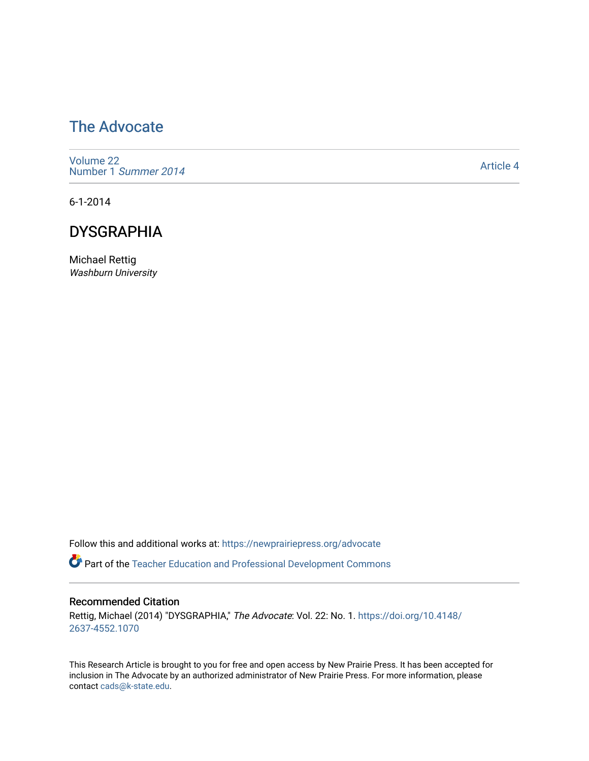## [The Advocate](https://newprairiepress.org/advocate)

[Volume 22](https://newprairiepress.org/advocate/vol22) [Number 1](https://newprairiepress.org/advocate/vol22/iss1) Summer 2014

[Article 4](https://newprairiepress.org/advocate/vol22/iss1/4) 

6-1-2014

#### **DYSGRAPHIA**

Michael Rettig Washburn University

Follow this and additional works at: [https://newprairiepress.org/advocate](https://newprairiepress.org/advocate?utm_source=newprairiepress.org%2Fadvocate%2Fvol22%2Fiss1%2F4&utm_medium=PDF&utm_campaign=PDFCoverPages) 

**Part of the Teacher Education and Professional Development Commons** 

#### Recommended Citation

Rettig, Michael (2014) "DYSGRAPHIA," The Advocate: Vol. 22: No. 1. [https://doi.org/10.4148/](https://doi.org/10.4148/2637-4552.1070) [2637-4552.1070](https://doi.org/10.4148/2637-4552.1070) 

This Research Article is brought to you for free and open access by New Prairie Press. It has been accepted for inclusion in The Advocate by an authorized administrator of New Prairie Press. For more information, please contact [cads@k-state.edu](mailto:cads@k-state.edu).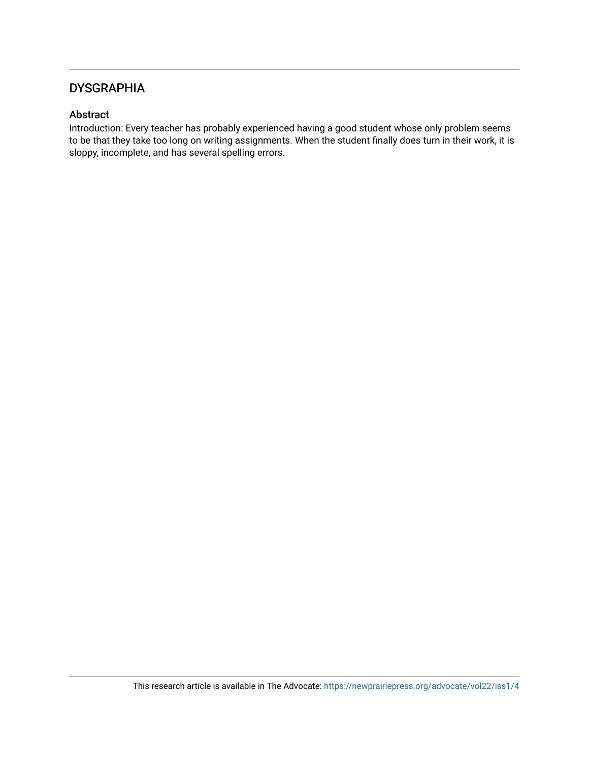#### **DYSGRAPHIA**

#### Abstract

Introduction: Every teacher has probably experienced having a good student whose only problem seems to be that they take too long on writing assignments. When the student finally does turn in their work, it is sloppy, incomplete, and has several spelling errors.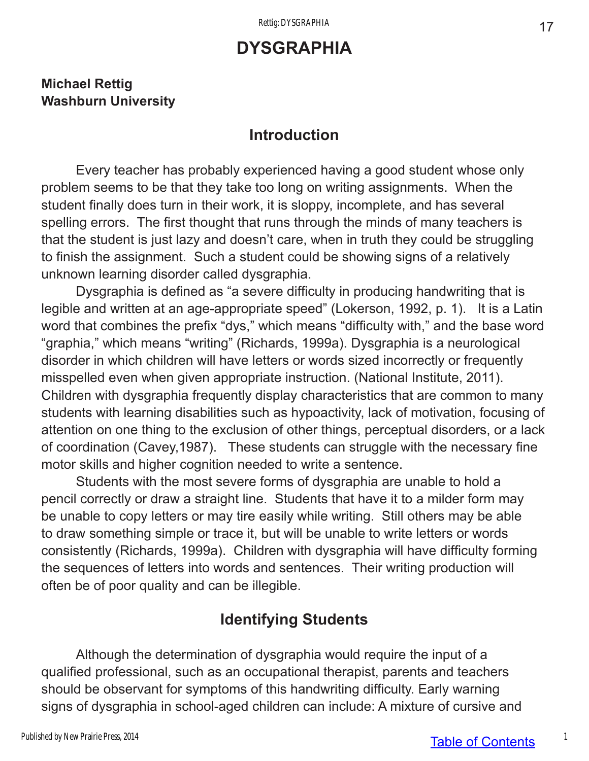# **DYSGRAPHIA**

#### **Michael Rettig Washburn University**

### **Introduction**

Every teacher has probably experienced having a good student whose only problem seems to be that they take too long on writing assignments. When the student finally does turn in their work, it is sloppy, incomplete, and has several spelling errors. The first thought that runs through the minds of many teachers is that the student is just lazy and doesn't care, when in truth they could be struggling to finish the assignment. Such a student could be showing signs of a relatively unknown learning disorder called dysgraphia.

Dysgraphia is defined as "a severe difficulty in producing handwriting that is legible and written at an age-appropriate speed" (Lokerson, 1992, p. 1). It is a Latin word that combines the prefix "dys," which means "difficulty with," and the base word "graphia," which means "writing" (Richards, 1999a). Dysgraphia is a neurological disorder in which children will have letters or words sized incorrectly or frequently misspelled even when given appropriate instruction. (National Institute, 2011). Children with dysgraphia frequently display characteristics that are common to many students with learning disabilities such as hypoactivity, lack of motivation, focusing of attention on one thing to the exclusion of other things, perceptual disorders, or a lack of coordination (Cavey,1987). These students can struggle with the necessary fine motor skills and higher cognition needed to write a sentence.

Students with the most severe forms of dysgraphia are unable to hold a pencil correctly or draw a straight line. Students that have it to a milder form may be unable to copy letters or may tire easily while writing. Still others may be able to draw something simple or trace it, but will be unable to write letters or words consistently (Richards, 1999a). Children with dysgraphia will have difficulty forming the sequences of letters into words and sentences. Their writing production will often be of poor quality and can be illegible.

## **Identifying Students**

Although the determination of dysgraphia would require the input of a qualified professional, such as an occupational therapist, parents and teachers should be observant for symptoms of this handwriting difficulty. Early warning signs of dysgraphia in school-aged children can include: A mixture of cursive and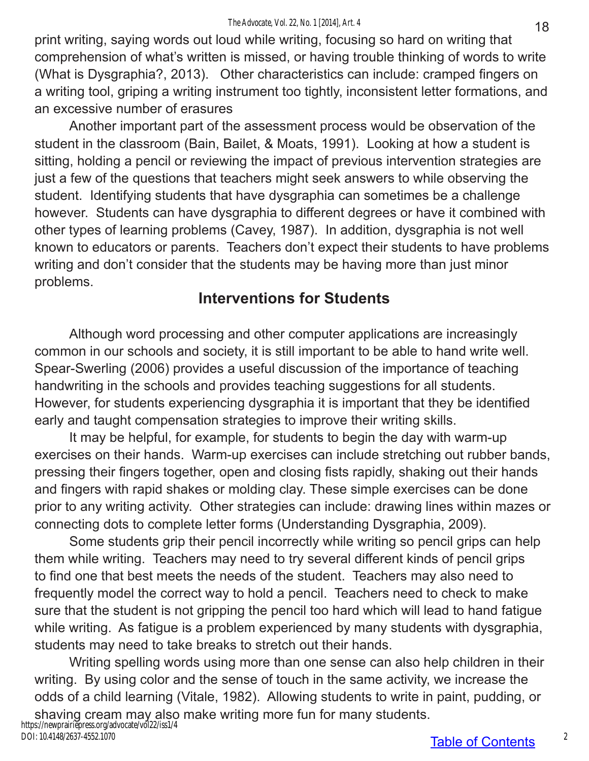print writing, saying words out loud while writing, focusing so hard on writing that comprehension of what's written is missed, or having trouble thinking of words to write (What is Dysgraphia?, 2013). Other characteristics can include: cramped fingers on a writing tool, griping a writing instrument too tightly, inconsistent letter formations, and an excessive number of erasures

Another important part of the assessment process would be observation of the student in the classroom (Bain, Bailet, & Moats, 1991). Looking at how a student is sitting, holding a pencil or reviewing the impact of previous intervention strategies are just a few of the questions that teachers might seek answers to while observing the student. Identifying students that have dysgraphia can sometimes be a challenge however. Students can have dysgraphia to different degrees or have it combined with other types of learning problems (Cavey, 1987). In addition, dysgraphia is not well known to educators or parents. Teachers don't expect their students to have problems writing and don't consider that the students may be having more than just minor problems.

## **Interventions for Students**

Although word processing and other computer applications are increasingly common in our schools and society, it is still important to be able to hand write well. Spear-Swerling (2006) provides a useful discussion of the importance of teaching handwriting in the schools and provides teaching suggestions for all students. However, for students experiencing dysgraphia it is important that they be identified early and taught compensation strategies to improve their writing skills.

It may be helpful, for example, for students to begin the day with warm-up exercises on their hands. Warm-up exercises can include stretching out rubber bands, pressing their fingers together, open and closing fists rapidly, shaking out their hands and fingers with rapid shakes or molding clay. These simple exercises can be done prior to any writing activity. Other strategies can include: drawing lines within mazes or connecting dots to complete letter forms (Understanding Dysgraphia, 2009).

Some students grip their pencil incorrectly while writing so pencil grips can help them while writing. Teachers may need to try several different kinds of pencil grips to find one that best meets the needs of the student. Teachers may also need to frequently model the correct way to hold a pencil. Teachers need to check to make sure that the student is not gripping the pencil too hard which will lead to hand fatigue while writing. As fatigue is a problem experienced by many students with dysgraphia, students may need to take breaks to stretch out their hands.

Writing spelling words using more than one sense can also help children in their writing. By using color and the sense of touch in the same activity, we increase the odds of a child learning (Vitale, 1982). Allowing students to write in paint, pudding, or shaving cream may also make writing more fun for many students.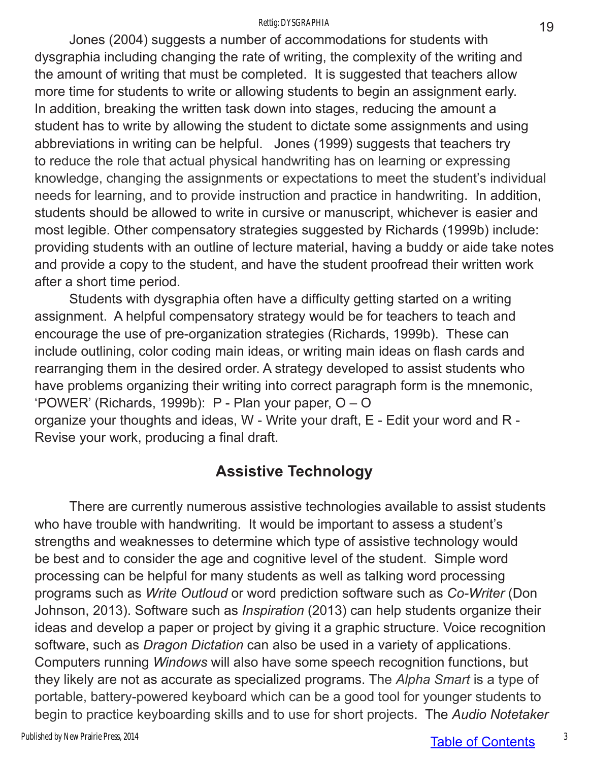#### Rettig: DYSGRAPHIA

Jones (2004) suggests a number of accommodations for students with dysgraphia including changing the rate of writing, the complexity of the writing and the amount of writing that must be completed. It is suggested that teachers allow more time for students to write or allowing students to begin an assignment early. In addition, breaking the written task down into stages, reducing the amount a student has to write by allowing the student to dictate some assignments and using abbreviations in writing can be helpful. Jones (1999) suggests that teachers try to reduce the role that actual physical handwriting has on learning or expressing knowledge, changing the assignments or expectations to meet the student's individual needs for learning, and to provide instruction and practice in handwriting. In addition, students should be allowed to write in cursive or manuscript, whichever is easier and most legible. Other compensatory strategies suggested by Richards (1999b) include: providing students with an outline of lecture material, having a buddy or aide take notes and provide a copy to the student, and have the student proofread their written work after a short time period.

Students with dysgraphia often have a difficulty getting started on a writing assignment. A helpful compensatory strategy would be for teachers to teach and encourage the use of pre-organization strategies (Richards, 1999b). These can include outlining, color coding main ideas, or writing main ideas on flash cards and rearranging them in the desired order. A strategy developed to assist students who have problems organizing their writing into correct paragraph form is the mnemonic, 'POWER' (Richards, 1999b): P - Plan your paper, O – O organize your thoughts and ideas, W - Write your draft, E - Edit your word and R - Revise your work, producing a final draft.

### **Assistive Technology**

There are currently numerous assistive technologies available to assist students who have trouble with handwriting. It would be important to assess a student's strengths and weaknesses to determine which type of assistive technology would be best and to consider the age and cognitive level of the student. Simple word processing can be helpful for many students as well as talking word processing programs such as *Write Outloud* or word prediction software such as *Co-Writer* (Don Johnson, 2013). Software such as *Inspiration* (2013) can help students organize their ideas and develop a paper or project by giving it a graphic structure. Voice recognition software, such as *Dragon Dictation* can also be used in a variety of applications. Computers running *Windows* will also have some speech recognition functions, but they likely are not as accurate as specialized programs. The *Alpha Smart* is a type of portable, battery-powered keyboard which can be a good tool for younger students to begin to practice keyboarding skills and to use for short projects. The *Audio Notetaker*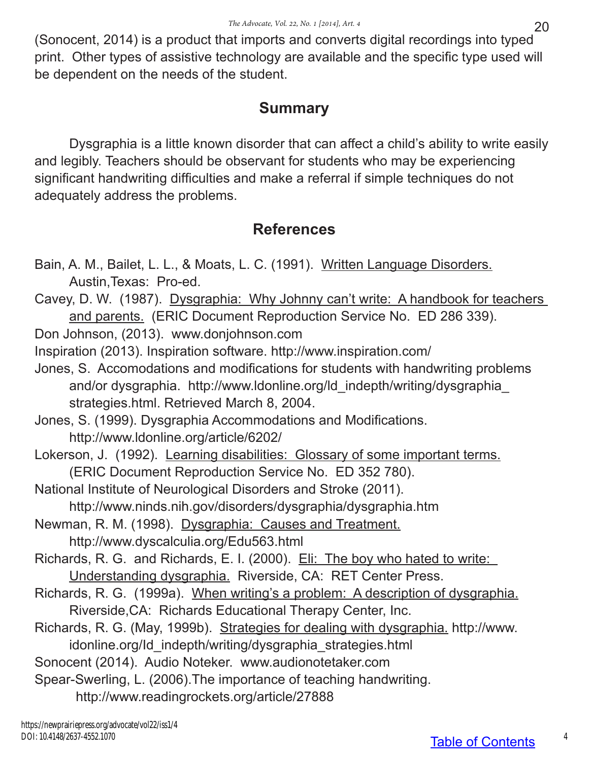(Sonocent, 2014) is a product that imports and converts digital recordings into typed print. Other types of assistive technology are available and the specific type used will be dependent on the needs of the student.

### **Summary**

Dysgraphia is a little known disorder that can affect a child's ability to write easily and legibly. Teachers should be observant for students who may be experiencing significant handwriting difficulties and make a referral if simple techniques do not adequately address the problems.

## **References**

- Bain, A. M., Bailet, L. L., & Moats, L. C. (1991). Written Language Disorders. Austin,Texas: Pro-ed.
- Cavey, D. W. (1987). Dysgraphia: Why Johnny can't write: A handbook for teachers and parents. (ERIC Document Reproduction Service No. ED 286 339).
- Don Johnson, (2013). www.donjohnson.com
- Inspiration (2013). Inspiration software. http://www.inspiration.com/
- Jones, S. Accomodations and modifications for students with handwriting problems and/or dysgraphia. http://www.ldonline.org/ld\_indepth/writing/dysgraphia\_ strategies.html. Retrieved March 8, 2004.
- Jones, S. (1999). Dysgraphia Accommodations and Modifications. http://www.ldonline.org/article/6202/
- Lokerson, J. (1992). Learning disabilities: Glossary of some important terms. (ERIC Document Reproduction Service No. ED 352 780).
- National Institute of Neurological Disorders and Stroke (2011). http://www.ninds.nih.gov/disorders/dysgraphia/dysgraphia.htm
- Newman, R. M. (1998). Dysgraphia: Causes and Treatment.
	- http://www.dyscalculia.org/Edu563.html
- Richards, R. G. and Richards, E. I. (2000). Eli: The boy who hated to write: Understanding dysgraphia. Riverside, CA: RET Center Press.
- Richards, R. G. (1999a). When writing's a problem: A description of dysgraphia. Riverside,CA: Richards Educational Therapy Center, Inc.
- Richards, R. G. (May, 1999b). Strategies for dealing with dysgraphia. http://www. idonline.org/Id\_indepth/writing/dysgraphia\_strategies.html
- Sonocent (2014). Audio Noteker. www.audionotetaker.com
- Spear-Swerling, L. (2006).The importance of teaching handwriting.
	- http://www.readingrockets.org/article/27888